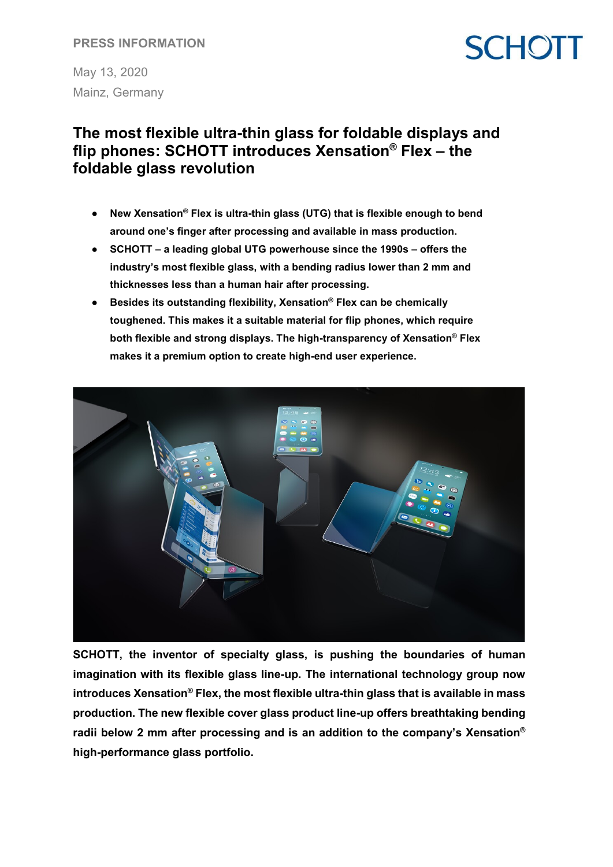### **PRESS INFORMATION**

May 13, 2020 Mainz, Germany

# **SCHOTT**

### **The most flexible ultra-thin glass for foldable displays and flip phones: SCHOTT introduces Xensation® Flex – the foldable glass revolution**

- **New Xensation® Flex is ultra-thin glass (UTG) that is flexible enough to bend around one's finger after processing and available in mass production.**
- **SCHOTT – a leading global UTG powerhouse since the 1990s – offers the industry's most flexible glass, with a bending radius lower than 2 mm and thicknesses less than a human hair after processing.**
- **Besides its outstanding flexibility, Xensation® Flex can be chemically toughened. This makes it a suitable material for flip phones, which require both flexible and strong displays. The high-transparency of Xensation® Flex makes it a premium option to create high-end user experience.**



**SCHOTT, the inventor of specialty glass, is pushing the boundaries of human imagination with its flexible glass line-up. The international technology group now introduces Xensation® Flex, the most flexible ultra-thin glass that is available in mass production. The new flexible cover glass product line-up offers breathtaking bending radii below 2 mm after processing and is an addition to the company's Xensation® high-performance glass portfolio.**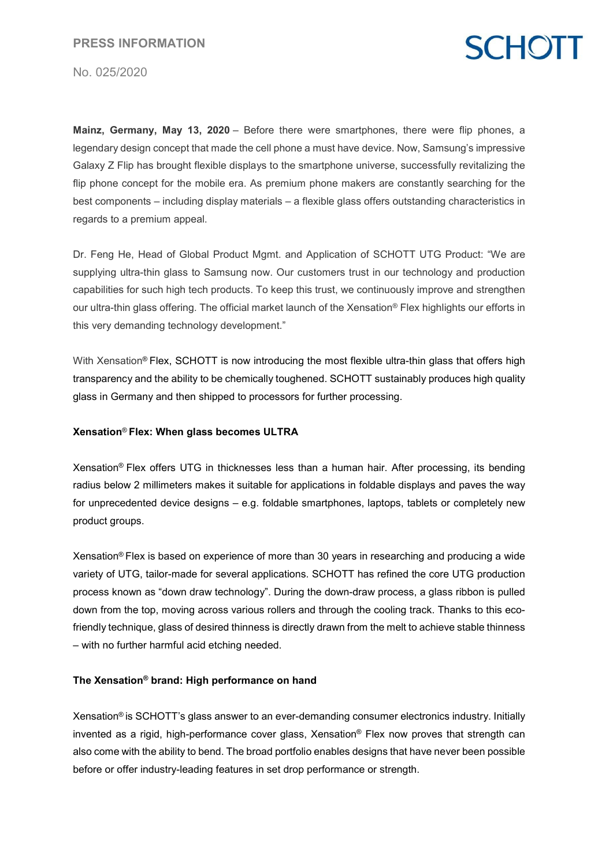# **SCHOTT**

No. 025/2020

**Mainz, Germany, May 13, 2020** – Before there were smartphones, there were flip phones, a legendary design concept that made the cell phone a must have device. Now, Samsung's impressive Galaxy Z Flip has brought flexible displays to the smartphone universe, successfully revitalizing the flip phone concept for the mobile era. As premium phone makers are constantly searching for the best components – including display materials – a flexible glass offers outstanding characteristics in regards to a premium appeal.

Dr. Feng He, Head of Global Product Mgmt. and Application of SCHOTT UTG Product: "We are supplying ultra-thin glass to Samsung now. Our customers trust in our technology and production capabilities for such high tech products. To keep this trust, we continuously improve and strengthen our ultra-thin glass offering. The official market launch of the Xensation® Flex highlights our efforts in this very demanding technology development."

With Xensation<sup>®</sup> Flex, SCHOTT is now introducing the most flexible ultra-thin glass that offers high transparency and the ability to be chemically toughened. SCHOTT sustainably produces high quality glass in Germany and then shipped to processors for further processing.

#### **Xensation**® **Flex: When glass becomes ULTRA**

Xensation® Flex offers UTG in thicknesses less than a human hair. After processing, its bending radius below 2 millimeters makes it suitable for applications in foldable displays and paves the way for unprecedented device designs – e.g. foldable smartphones, laptops, tablets or completely new product groups.

Xensation® Flex is based on experience of more than 30 years in researching and producing a wide variety of UTG, tailor-made for several applications. SCHOTT has refined the core UTG production process known as "down draw technology". During the down-draw process, a glass ribbon is pulled down from the top, moving across various rollers and through the cooling track. Thanks to this ecofriendly technique, glass of desired thinness is directly drawn from the melt to achieve stable thinness – with no further harmful acid etching needed.

#### **The Xensation® brand: High performance on hand**

Xensation® is SCHOTT's glass answer to an ever-demanding consumer electronics industry. Initially invented as a rigid, high-performance cover glass, Xensation® Flex now proves that strength can also come with the ability to bend. The broad portfolio enables designs that have never been possible before or offer industry-leading features in set drop performance or strength.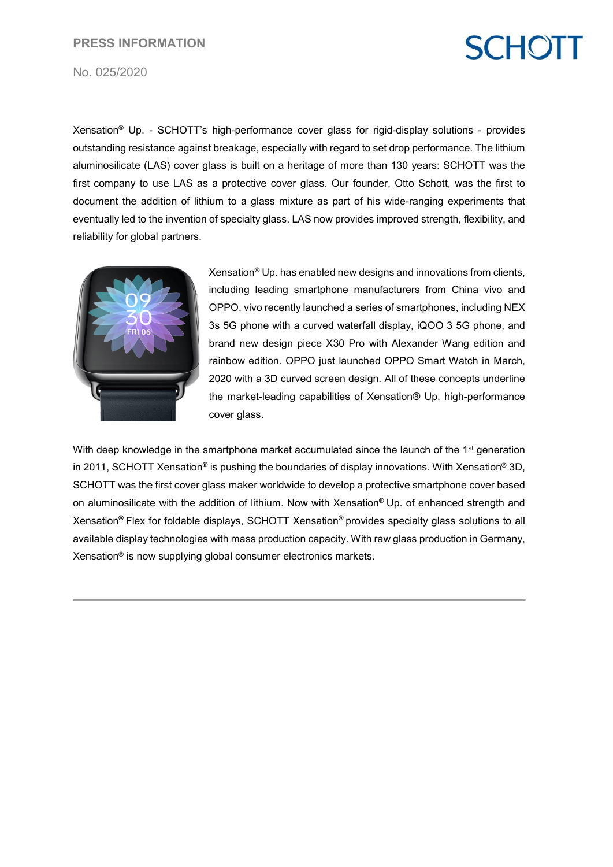#### **PRESS INFORMATION**

# **SCHOTT**

No. 025/2020

Xensation® Up. - SCHOTT's high-performance cover glass for rigid-display solutions - provides outstanding resistance against breakage, especially with regard to set drop performance. The lithium aluminosilicate (LAS) cover glass is built on a heritage of more than 130 years: SCHOTT was the first company to use LAS as a protective cover glass. Our founder, Otto Schott, was the first to document the addition of lithium to a glass mixture as part of his wide-ranging experiments that eventually led to the invention of specialty glass. LAS now provides improved strength, flexibility, and reliability for global partners.



Xensation® Up. has enabled new designs and innovations from clients, including leading smartphone manufacturers from China vivo and OPPO. vivo recently launched a series of smartphones, including NEX 3s 5G phone with a curved waterfall display, iQOO 3 5G phone, and brand new design piece X30 Pro with Alexander Wang edition and rainbow edition. OPPO just launched OPPO Smart Watch in March, 2020 with a 3D curved screen design. All of these concepts underline the market-leading capabilities of Xensation® Up. high-performance cover glass.

With deep knowledge in the smartphone market accumulated since the launch of the 1<sup>st</sup> generation in 2011, SCHOTT Xensation**®** is pushing the boundaries of display innovations. With Xensation® 3D, SCHOTT was the first cover glass maker worldwide to develop a protective smartphone cover based on aluminosilicate with the addition of lithium. Now with Xensation**®** Up. of enhanced strength and Xensation**®** Flex for foldable displays, SCHOTT Xensation**®** provides specialty glass solutions to all available display technologies with mass production capacity. With raw glass production in Germany, Xensation® is now supplying global consumer electronics markets.